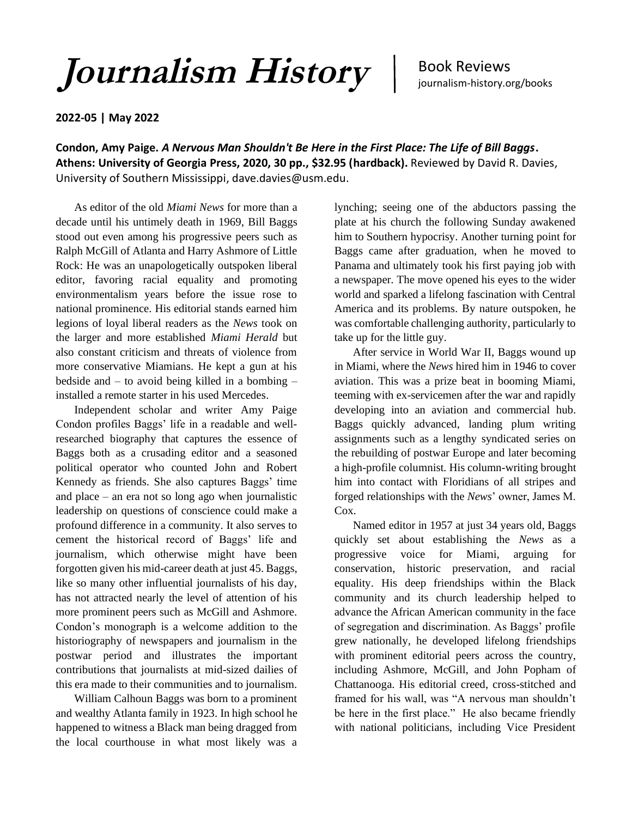## *Journalism History* |

## **2022-05 | May 2022**

**Condon, Amy Paige.** *A Nervous Man Shouldn't Be Here in the First Place: The Life of Bill Baggs***. Athens: University of Georgia Press, 2020, 30 pp., \$32.95 (hardback).** Reviewed by David R. Davies, University of Southern Mississippi, dave.davies@usm.edu.

As editor of the old *Miami News* for more than a decade until his untimely death in 1969, Bill Baggs stood out even among his progressive peers such as Ralph McGill of Atlanta and Harry Ashmore of Little Rock: He was an unapologetically outspoken liberal editor, favoring racial equality and promoting environmentalism years before the issue rose to national prominence. His editorial stands earned him legions of loyal liberal readers as the *News* took on the larger and more established *Miami Herald* but also constant criticism and threats of violence from more conservative Miamians. He kept a gun at his bedside and – to avoid being killed in a bombing – installed a remote starter in his used Mercedes.

Independent scholar and writer Amy Paige Condon profiles Baggs' life in a readable and wellresearched biography that captures the essence of Baggs both as a crusading editor and a seasoned political operator who counted John and Robert Kennedy as friends. She also captures Baggs' time and place – an era not so long ago when journalistic leadership on questions of conscience could make a profound difference in a community. It also serves to cement the historical record of Baggs' life and journalism, which otherwise might have been forgotten given his mid-career death at just 45. Baggs, like so many other influential journalists of his day, has not attracted nearly the level of attention of his more prominent peers such as McGill and Ashmore. Condon's monograph is a welcome addition to the historiography of newspapers and journalism in the postwar period and illustrates the important contributions that journalists at mid-sized dailies of this era made to their communities and to journalism.

William Calhoun Baggs was born to a prominent and wealthy Atlanta family in 1923. In high school he happened to witness a Black man being dragged from the local courthouse in what most likely was a lynching; seeing one of the abductors passing the plate at his church the following Sunday awakened him to Southern hypocrisy. Another turning point for Baggs came after graduation, when he moved to Panama and ultimately took his first paying job with a newspaper. The move opened his eyes to the wider world and sparked a lifelong fascination with Central America and its problems. By nature outspoken, he was comfortable challenging authority, particularly to take up for the little guy.

After service in World War II, Baggs wound up in Miami, where the *News* hired him in 1946 to cover aviation. This was a prize beat in booming Miami, teeming with ex-servicemen after the war and rapidly developing into an aviation and commercial hub. Baggs quickly advanced, landing plum writing assignments such as a lengthy syndicated series on the rebuilding of postwar Europe and later becoming a high-profile columnist. His column-writing brought him into contact with Floridians of all stripes and forged relationships with the *News*' owner, James M. Cox.

Named editor in 1957 at just 34 years old, Baggs quickly set about establishing the *News* as a progressive voice for Miami, arguing for conservation, historic preservation, and racial equality. His deep friendships within the Black community and its church leadership helped to advance the African American community in the face of segregation and discrimination. As Baggs' profile grew nationally, he developed lifelong friendships with prominent editorial peers across the country, including Ashmore, McGill, and John Popham of Chattanooga. His editorial creed, cross-stitched and framed for his wall, was "A nervous man shouldn't be here in the first place." He also became friendly with national politicians, including Vice President